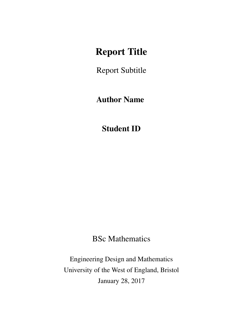## Report Title

Report Subtitle

### Author Name

Student ID

BSc Mathematics

Engineering Design and Mathematics University of the West of England, Bristol January 28, 2017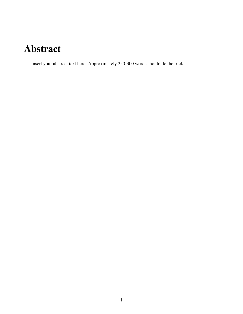# Abstract

Insert your abstract text here. Approximately 250-300 words should do the trick!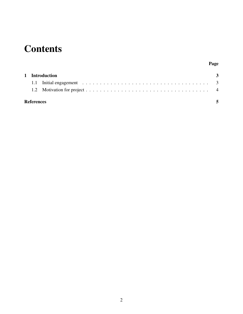# **Contents**

#### Page

|                   | 1 Introduction |  |  |
|-------------------|----------------|--|--|
|                   |                |  |  |
|                   |                |  |  |
| <b>References</b> |                |  |  |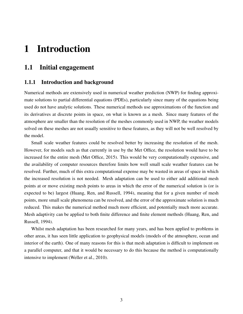## <span id="page-3-0"></span>1 Introduction

#### <span id="page-3-1"></span>1.1 Initial engagement

#### 1.1.1 Introduction and background

Numerical methods are extensively used in numerical weather prediction (NWP) for finding approximate solutions to partial differential equations (PDEs), particularly since many of the equations being used do not have analytic solutions. These numerical methods use approximations of the function and its derivatives at discrete points in space, on what is known as a mesh. Since many features of the atmosphere are smaller than the resolution of the meshes commonly used in NWP, the weather models solved on these meshes are not usually sensitive to these features, as they will not be well resolved by the model.

Small scale weather features could be resolved better by increasing the resolution of the mesh. However, for models such as that currently in use by the Met Office, the resolution would have to be increased for the entire mesh (Met Office, [2015\)](#page-5-1). This would be very computationally expensive, and the availability of computer resources therefore limits how well small scale weather features can be resolved. Further, much of this extra computational expense may be wasted in areas of space in which the increased resolution is not needed. Mesh adaptation can be used to either add additional mesh points at or move existing mesh points to areas in which the error of the numerical solution is (or is expected to be) largest (Huang, Ren, and Russell, [1994\)](#page-5-2), meaning that for a given number of mesh points, more small scale phenomena can be resolved, and the error of the approximate solution is much reduced. This makes the numerical method much more efficient, and potentially much more accurate. Mesh adaptivity can be applied to both finite difference and finite element methods (Huang, Ren, and Russell, [1994\)](#page-5-2).

<span id="page-3-2"></span>Whilst mesh adaptation has been researched for many years, and has been applied to problems in other areas, it has seen little application to geophysical models (models of the atmosphere, ocean and interior of the earth). One of many reasons for this is that mesh adaptation is difficult to implement on a parallel computer, and that it would be necessary to do this because the method is computationally intensive to implement (Weller et al., [2010\)](#page-5-3).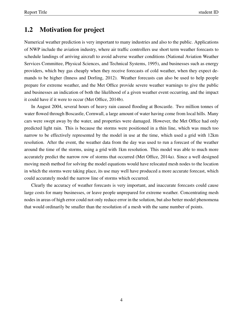#### 1.2 Motivation for project

Numerical weather prediction is very important to many industries and also to the public. Applications of NWP include the aviation industry, where air traffic controllers use short term weather forecasts to schedule landings of arriving aircraft to avoid adverse weather conditions (National Aviation Weather Services Committee, Physical Sciences, and Technical Systems, [1995\)](#page-5-4), and businesses such as energy providers, which buy gas cheaply when they receive forecasts of cold weather, when they expect demands to be higher (Inness and Dorling, [2012\)](#page-5-5). Weather forecasts can also be used to help people prepare for extreme weather, and the Met Office provide severe weather warnings to give the public and businesses an indication of both the likelihood of a given weather event occurring, and the impact it could have if it were to occur (Met Office, [2014b\)](#page-5-6).

In August 2004, several hours of heavy rain caused flooding at Boscastle. Two million tonnes of water flowed through Boscastle, Cornwall, a large amount of water having come from local hills. Many cars were swept away by the water, and properties were damaged. However, the Met Office had only predicted light rain. This is because the storms were positioned in a thin line, which was much too narrow to be effectively represented by the model in use at the time, which used a grid with 12km resolution. After the event, the weather data from the day was used to run a forecast of the weather around the time of the storms, using a grid with 1km resolution. This model was able to much more accurately predict the narrow row of storms that occurred (Met Office, [2014a\)](#page-5-7). Since a well designed moving mesh method for solving the model equations would have relocated mesh nodes to the location in which the storms were taking place, its use may well have produced a more accurate forecast, which could accurately model the narrow line of storms which occurred.

Clearly the accuracy of weather forecasts is very important, and inaccurate forecasts could cause large costs for many businesses, or leave people unprepared for extreme weather. Concentrating mesh nodes in areas of high error could not only reduce error in the solution, but also better model phenomena that would ordinarily be smaller than the resolution of a mesh with the same number of points.